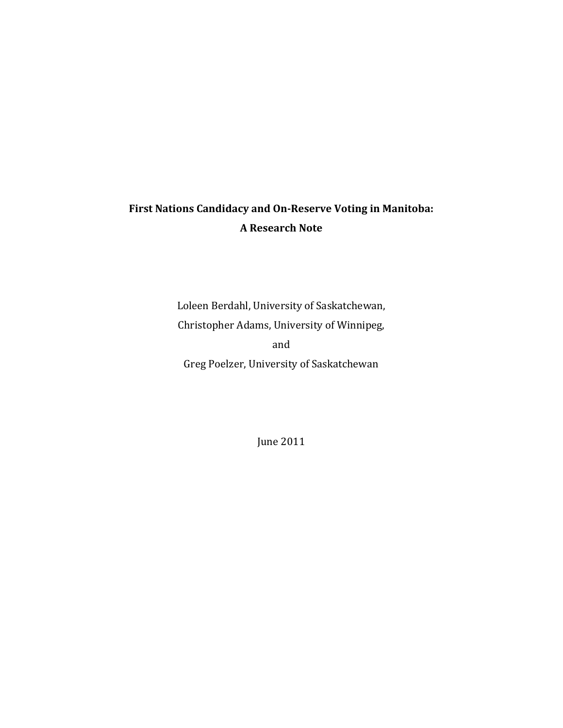# **First Nations Candidacy and On‐Reserve Voting in Manitoba: A Research Note**

Loleen Berdahl, University of Saskatchewan, Christopher Adams, University of Winnipeg, and Greg Poelzer, University of Saskatchewan

June 2011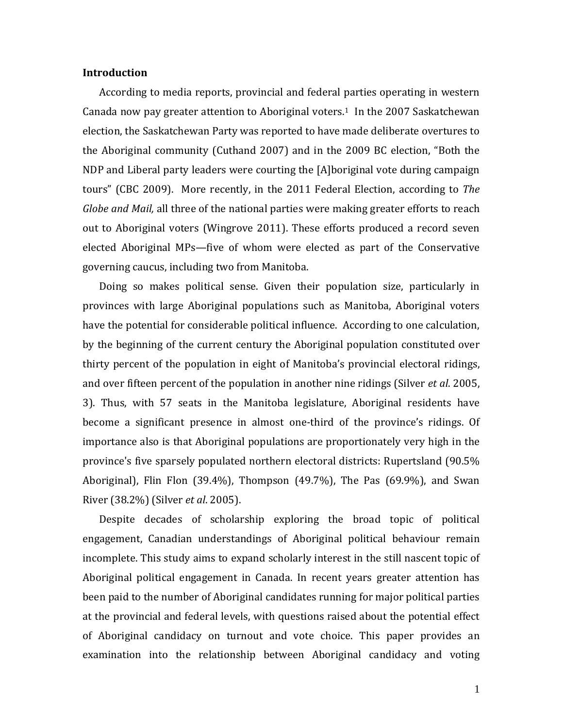## **Introduction**

According to media reports, provincial and federal parties operating in western Canada now pay greater attention to Aboriginal voters.<sup>1</sup> In the 2007 Saskatchewan election, the Saskatchewan Party was reported to have made deliberate overtures to the Aboriginal community (Cuthand 2007) and in the 2009 BC election, "Both the NDP and Liberal party leaders were courting the  $[A]$ boriginal vote during campaign tours" (CBC 2009). More recently, in the 2011 Federal Election, according to *The Globe* and *Mail*, all three of the national parties were making greater efforts to reach out to Aboriginal voters (Wingrove 2011). These efforts produced a record seven elected Aboriginal MPs—five of whom were elected as part of the Conservative governing caucus, including two from Manitoba.

Doing so makes political sense. Given their population size, particularly in provinces with large Aboriginal populations such as Manitoba, Aboriginal voters have the potential for considerable political influence. According to one calculation, by the beginning of the current century the Aboriginal population constituted over thirty percent of the population in eight of Manitoba's provincial electoral ridings, and over fifteen percent of the population in another nine ridings (Silver *et al.* 2005, 3). Thus, with 57 seats in the Manitoba legislature, Aboriginal residents have become a significant presence in almost one-third of the province's ridings. Of importance also is that Aboriginal populations are proportionately very high in the province's five sparsely populated northern electoral districts: Rupertsland (90.5%) Aboriginal), Flin Flon  $(39.4\%)$ , Thompson  $(49.7\%)$ , The Pas  $(69.9\%)$ , and Swan River (38.2%) (Silver *et al*. 2005). 

Despite decades of scholarship exploring the broad topic of political engagement, Canadian understandings of Aboriginal political behaviour remain incomplete. This study aims to expand scholarly interest in the still nascent topic of Aboriginal political engagement in Canada. In recent years greater attention has been paid to the number of Aboriginal candidates running for major political parties at the provincial and federal levels, with questions raised about the potential effect of Aboriginal candidacy on turnout and vote choice. This paper provides an examination into the relationship between Aboriginal candidacy and voting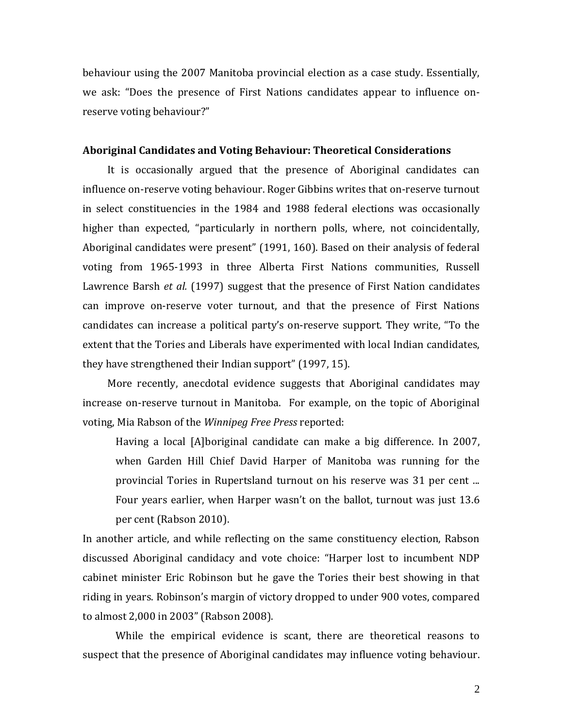behaviour using the 2007 Manitoba provincial election as a case study. Essentially, we ask: "Does the presence of First Nations candidates appear to influence onreserve voting behaviour?"

# **Aboriginal Candidates and Voting Behaviour: Theoretical Considerations**

It is occasionally argued that the presence of Aboriginal candidates can influence on-reserve voting behaviour. Roger Gibbins writes that on-reserve turnout in select constituencies in the 1984 and 1988 federal elections was occasionally higher than expected, "particularly in northern polls, where, not coincidentally, Aboriginal candidates were present" (1991, 160). Based on their analysis of federal voting from 1965-1993 in three Alberta First Nations communities, Russell Lawrence Barsh *et al.* (1997) suggest that the presence of First Nation candidates can improve on-reserve voter turnout, and that the presence of First Nations candidates can increase a political party's on-reserve support. They write, "To the extent that the Tories and Liberals have experimented with local Indian candidates, they have strengthened their Indian support" (1997, 15).

More recently, anecdotal evidence suggests that Aboriginal candidates may increase on-reserve turnout in Manitoba. For example, on the topic of Aboriginal voting, Mia Rabson of the *Winnipeg Free Press* reported: 

Having a local  $[A]$ boriginal candidate can make a big difference. In 2007, when Garden Hill Chief David Harper of Manitoba was running for the provincial Tories in Rupertsland turnout on his reserve was 31 per cent ... Four years earlier, when Harper wasn't on the ballot, turnout was just 13.6 per cent (Rabson 2010).

In another article, and while reflecting on the same constituency election, Rabson discussed Aboriginal candidacy and vote choice: "Harper lost to incumbent NDP cabinet minister Eric Robinson but he gave the Tories their best showing in that riding in years. Robinson's margin of victory dropped to under 900 votes, compared to almost 2,000 in 2003" (Rabson 2008).

While the empirical evidence is scant, there are theoretical reasons to suspect that the presence of Aboriginal candidates may influence voting behaviour.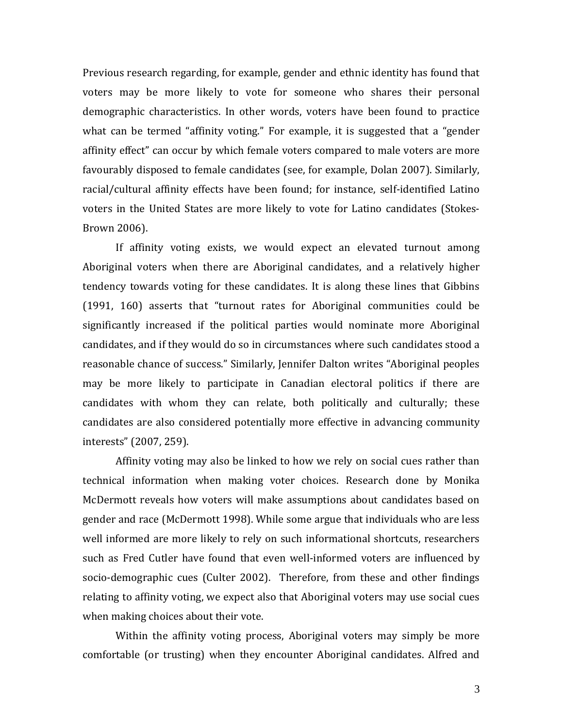Previous research regarding, for example, gender and ethnic identity has found that voters may be more likely to vote for someone who shares their personal demographic characteristics. In other words, voters have been found to practice what can be termed "affinity voting." For example, it is suggested that a "gender affinity effect" can occur by which female voters compared to male voters are more favourably disposed to female candidates (see, for example, Dolan 2007). Similarly, racial/cultural affinity effects have been found; for instance, self-identified Latino voters in the United States are more likely to vote for Latino candidates (Stokes-Brown 2006). 

If affinity voting exists, we would expect an elevated turnout among Aboriginal voters when there are Aboriginal candidates, and a relatively higher tendency towards voting for these candidates. It is along these lines that Gibbins  $(1991, 160)$  asserts that "turnout rates for Aboriginal communities could be significantly increased if the political parties would nominate more Aboriginal candidates, and if they would do so in circumstances where such candidates stood a reasonable chance of success." Similarly, Jennifer Dalton writes "Aboriginal peoples may be more likely to participate in Canadian electoral politics if there are candidates with whom they can relate, both politically and culturally; these candidates are also considered potentially more effective in advancing community interests" (2007, 259).

Affinity voting may also be linked to how we rely on social cues rather than technical information when making voter choices. Research done by Monika McDermott reveals how voters will make assumptions about candidates based on gender and race (McDermott 1998). While some argue that individuals who are less well informed are more likely to rely on such informational shortcuts, researchers such as Fred Cutler have found that even well-informed voters are influenced by socio-demographic cues (Culter 2002). Therefore, from these and other findings relating to affinity voting, we expect also that Aboriginal voters may use social cues when making choices about their vote.

Within the affinity voting process, Aboriginal voters may simply be more comfortable (or trusting) when they encounter Aboriginal candidates. Alfred and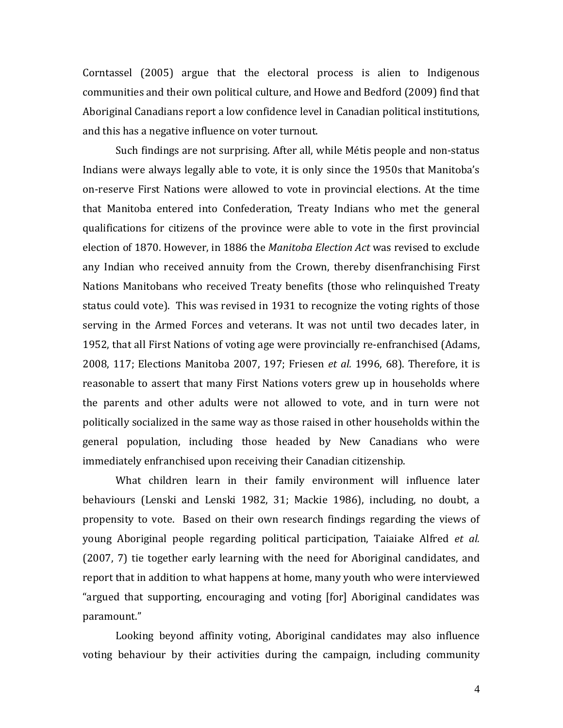Corntassel  $(2005)$  argue that the electoral process is alien to Indigenous communities and their own political culture, and Howe and Bedford (2009) find that Aboriginal Canadians report a low confidence level in Canadian political institutions, and this has a negative influence on voter turnout.

Such findings are not surprising. After all, while Métis people and non-status Indians were always legally able to vote, it is only since the 1950s that Manitoba's on-reserve First Nations were allowed to vote in provincial elections. At the time that Manitoba entered into Confederation, Treaty Indians who met the general qualifications for citizens of the province were able to vote in the first provincial election of 1870. However, in 1886 the *Manitoba Election Act* was revised to exclude any Indian who received annuity from the Crown, thereby disenfranchising First Nations Manitobans who received Treaty benefits (those who relinquished Treaty status could vote). This was revised in 1931 to recognize the voting rights of those serving in the Armed Forces and veterans. It was not until two decades later, in 1952, that all First Nations of voting age were provincially re-enfranchised (Adams, 2008, 117; Elections Manitoba 2007, 197; Friesen et al. 1996, 68). Therefore, it is reasonable to assert that many First Nations voters grew up in households where the parents and other adults were not allowed to vote, and in turn were not politically socialized in the same way as those raised in other households within the general population, including those headed by New Canadians who were immediately enfranchised upon receiving their Canadian citizenship.

What children learn in their family environment will influence later behaviours (Lenski and Lenski 1982, 31; Mackie 1986), including, no doubt, a propensity to vote. Based on their own research findings regarding the views of young Aboriginal people regarding political participation, Taiaiake Alfred *et al.* (2007, 7) tie together early learning with the need for Aboriginal candidates, and report that in addition to what happens at home, many youth who were interviewed "argued that supporting, encouraging and voting [for] Aboriginal candidates was paramount." 

Looking beyond affinity voting, Aboriginal candidates may also influence voting behaviour by their activities during the campaign, including community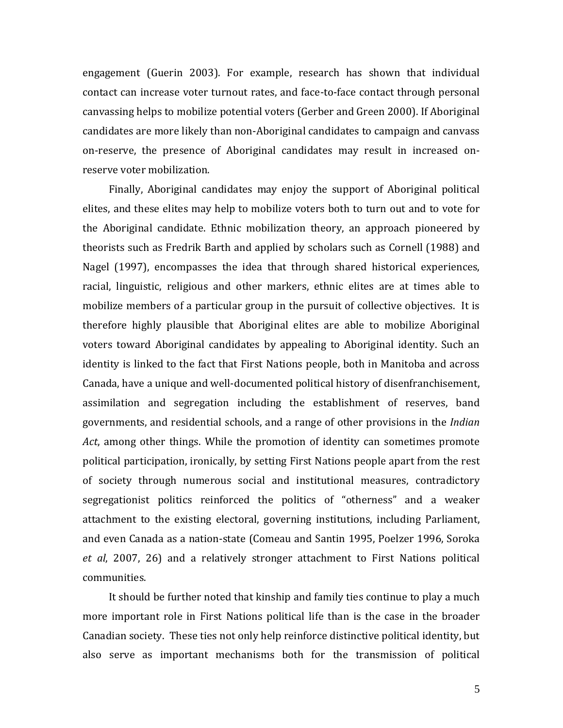engagement (Guerin 2003). For example, research has shown that individual contact can increase voter turnout rates, and face-to-face contact through personal canvassing helps to mobilize potential voters (Gerber and Green 2000). If Aboriginal candidates are more likely than non-Aboriginal candidates to campaign and canvass on-reserve, the presence of Aboriginal candidates may result in increased onreserve voter mobilization.

Finally, Aboriginal candidates may enjoy the support of Aboriginal political elites, and these elites may help to mobilize voters both to turn out and to vote for the Aboriginal candidate. Ethnic mobilization theory, an approach pioneered by theorists such as Fredrik Barth and applied by scholars such as Cornell (1988) and Nagel (1997), encompasses the idea that through shared historical experiences, racial, linguistic, religious and other markers, ethnic elites are at times able to mobilize members of a particular group in the pursuit of collective objectives. It is therefore highly plausible that Aboriginal elites are able to mobilize Aboriginal voters toward Aboriginal candidates by appealing to Aboriginal identity. Such an identity is linked to the fact that First Nations people, both in Manitoba and across Canada, have a unique and well-documented political history of disenfranchisement, assimilation and segregation including the establishment of reserves, band governments, and residential schools, and a range of other provisions in the *Indian Act*, among other things. While the promotion of identity can sometimes promote political participation, ironically, by setting First Nations people apart from the rest of society through numerous social and institutional measures, contradictory segregationist politics reinforced the politics of "otherness" and a weaker attachment to the existing electoral, governing institutions, including Parliament, and even Canada as a nation-state (Comeau and Santin 1995, Poelzer 1996, Soroka *et al*, 2007, 26) and a relatively stronger attachment to First Nations political communities. 

It should be further noted that kinship and family ties continue to play a much more important role in First Nations political life than is the case in the broader Canadian society. These ties not only help reinforce distinctive political identity, but also serve as important mechanisms both for the transmission of political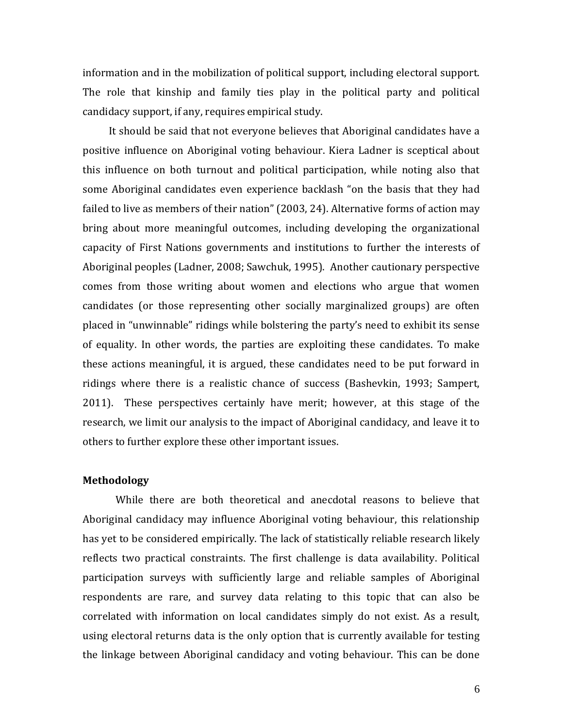information and in the mobilization of political support, including electoral support. The role that kinship and family ties play in the political party and political candidacy support, if any, requires empirical study.

It should be said that not everyone believes that Aboriginal candidates have a positive influence on Aboriginal voting behaviour. Kiera Ladner is sceptical about this influence on both turnout and political participation, while noting also that some Aboriginal candidates even experience backlash "on the basis that they had failed to live as members of their nation" (2003, 24). Alternative forms of action may bring about more meaningful outcomes, including developing the organizational capacity of First Nations governments and institutions to further the interests of Aboriginal peoples (Ladner, 2008; Sawchuk, 1995). Another cautionary perspective comes from those writing about women and elections who argue that women candidates (or those representing other socially marginalized groups) are often placed in "unwinnable" ridings while bolstering the party's need to exhibit its sense of equality. In other words, the parties are exploiting these candidates. To make these actions meaningful, it is argued, these candidates need to be put forward in ridings where there is a realistic chance of success (Bashevkin, 1993; Sampert, 2011). These perspectives certainly have merit; however, at this stage of the research, we limit our analysis to the impact of Aboriginal candidacy, and leave it to others to further explore these other important issues.

#### **Methodology**

While there are both theoretical and anecdotal reasons to believe that Aboriginal candidacy may influence Aboriginal voting behaviour, this relationship has yet to be considered empirically. The lack of statistically reliable research likely reflects two practical constraints. The first challenge is data availability. Political participation surveys with sufficiently large and reliable samples of Aboriginal respondents are rare, and survey data relating to this topic that can also be correlated with information on local candidates simply do not exist. As a result, using electoral returns data is the only option that is currently available for testing the linkage between Aboriginal candidacy and voting behaviour. This can be done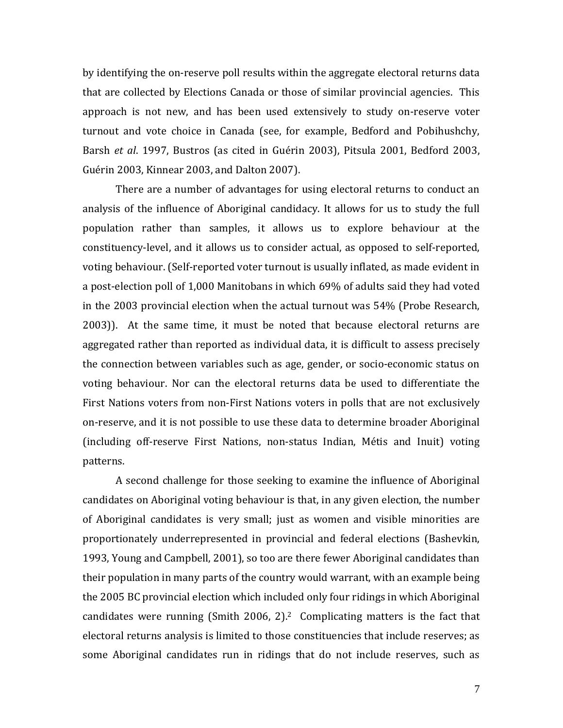by identifying the on-reserve poll results within the aggregate electoral returns data that are collected by Elections Canada or those of similar provincial agencies. This approach is not new, and has been used extensively to study on-reserve voter turnout and vote choice in Canada (see, for example, Bedford and Pobihushchy, Barsh *et al.* 1997, Bustros (as cited in Guérin 2003), Pitsula 2001, Bedford 2003, Guérin 2003, Kinnear 2003, and Dalton 2007).

There are a number of advantages for using electoral returns to conduct an analysis of the influence of Aboriginal candidacy. It allows for us to study the full population rather than samples, it allows us to explore behaviour at the constituency-level, and it allows us to consider actual, as opposed to self-reported, voting behaviour. (Self-reported voter turnout is usually inflated, as made evident in a post-election poll of 1,000 Manitobans in which 69% of adults said they had voted in the  $2003$  provincial election when the actual turnout was  $54\%$  (Probe Research,  $2003$ ). At the same time, it must be noted that because electoral returns are aggregated rather than reported as individual data, it is difficult to assess precisely the connection between variables such as age, gender, or socio-economic status on voting behaviour. Nor can the electoral returns data be used to differentiate the First Nations voters from non-First Nations voters in polls that are not exclusively on-reserve, and it is not possible to use these data to determine broader Aboriginal (including off-reserve First Nations, non-status Indian, Métis and Inuit) voting patterns. 

A second challenge for those seeking to examine the influence of Aboriginal candidates on Aboriginal voting behaviour is that, in any given election, the number of Aboriginal candidates is very small; just as women and visible minorities are proportionately underrepresented in provincial and federal elections (Bashevkin, 1993, Young and Campbell, 2001), so too are there fewer Aboriginal candidates than their population in many parts of the country would warrant, with an example being the 2005 BC provincial election which included only four ridings in which Aboriginal candidates were running (Smith 2006, 2).<sup>2</sup> Complicating matters is the fact that electoral returns analysis is limited to those constituencies that include reserves; as some Aboriginal candidates run in ridings that do not include reserves, such as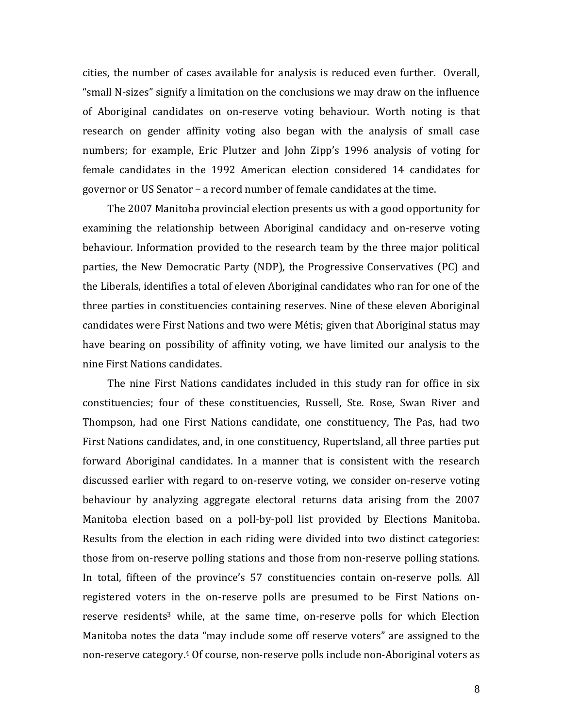cities, the number of cases available for analysis is reduced even further. Overall, "small N-sizes" signify a limitation on the conclusions we may draw on the influence of Aboriginal candidates on on-reserve voting behaviour. Worth noting is that research on gender affinity voting also began with the analysis of small case numbers; for example, Eric Plutzer and John Zipp's 1996 analysis of voting for female candidates in the 1992 American election considered 14 candidates for governor or US Senator – a record number of female candidates at the time.

The 2007 Manitoba provincial election presents us with a good opportunity for examining the relationship between Aboriginal candidacy and on-reserve voting behaviour. Information provided to the research team by the three major political parties, the New Democratic Party (NDP), the Progressive Conservatives (PC) and the Liberals, identifies a total of eleven Aboriginal candidates who ran for one of the three parties in constituencies containing reserves. Nine of these eleven Aboriginal candidates were First Nations and two were Métis; given that Aboriginal status may have bearing on possibility of affinity voting, we have limited our analysis to the nine First Nations candidates.

The nine First Nations candidates included in this study ran for office in six constituencies; four of these constituencies, Russell, Ste. Rose, Swan River and Thompson, had one First Nations candidate, one constituency, The Pas, had two First Nations candidates, and, in one constituency, Rupertsland, all three parties put forward Aboriginal candidates. In a manner that is consistent with the research discussed earlier with regard to on-reserve voting, we consider on-reserve voting behaviour by analyzing aggregate electoral returns data arising from the 2007 Manitoba election based on a poll-by-poll list provided by Elections Manitoba. Results from the election in each riding were divided into two distinct categories: those from on-reserve polling stations and those from non-reserve polling stations. In total, fifteen of the province's 57 constituencies contain on-reserve polls. All registered voters in the on-reserve polls are presumed to be First Nations onreserve residents<sup>3</sup> while, at the same time, on-reserve polls for which Election Manitoba notes the data "may include some off reserve voters" are assigned to the non-reserve category.<sup>4</sup> Of course, non-reserve polls include non-Aboriginal voters as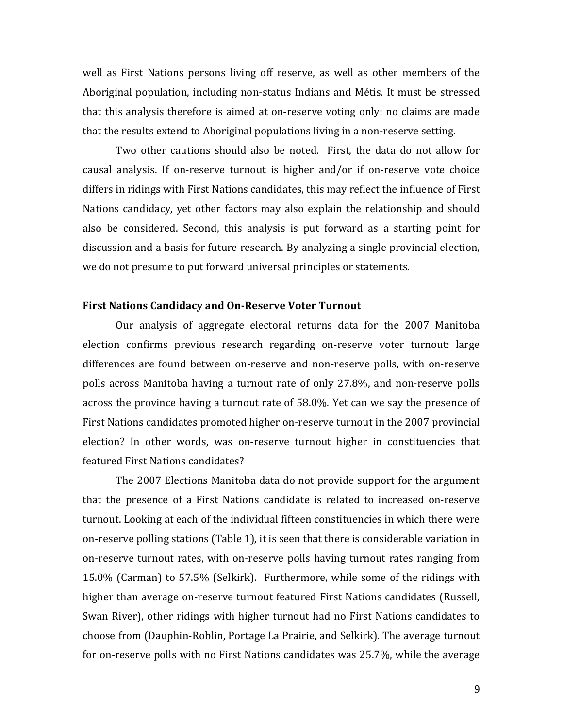well as First Nations persons living off reserve, as well as other members of the Aboriginal population, including non-status Indians and Métis. It must be stressed that this analysis therefore is aimed at on-reserve voting only; no claims are made that the results extend to Aboriginal populations living in a non-reserve setting.

Two other cautions should also be noted. First, the data do not allow for causal analysis. If on-reserve turnout is higher and/or if on-reserve vote choice differs in ridings with First Nations candidates, this may reflect the influence of First Nations candidacy, yet other factors may also explain the relationship and should also be considered. Second, this analysis is put forward as a starting point for discussion and a basis for future research. By analyzing a single provincial election, we do not presume to put forward universal principles or statements.

#### **First Nations Candidacy and On‐Reserve Voter Turnout**

Our analysis of aggregate electoral returns data for the 2007 Manitoba election confirms previous research regarding on-reserve voter turnout: large differences are found between on-reserve and non-reserve polls, with on-reserve polls across Manitoba having a turnout rate of only 27.8%, and non-reserve polls across the province having a turnout rate of 58.0%. Yet can we say the presence of First Nations candidates promoted higher on-reserve turnout in the 2007 provincial election? In other words, was on-reserve turnout higher in constituencies that featured First Nations candidates?

The 2007 Elections Manitoba data do not provide support for the argument that the presence of a First Nations candidate is related to increased on-reserve turnout. Looking at each of the individual fifteen constituencies in which there were on-reserve polling stations (Table 1), it is seen that there is considerable variation in on-reserve turnout rates, with on-reserve polls having turnout rates ranging from 15.0% (Carman) to 57.5% (Selkirk). Furthermore, while some of the ridings with higher than average on-reserve turnout featured First Nations candidates (Russell, Swan River), other ridings with higher turnout had no First Nations candidates to choose from (Dauphin-Roblin, Portage La Prairie, and Selkirk). The average turnout for on-reserve polls with no First Nations candidates was 25.7%, while the average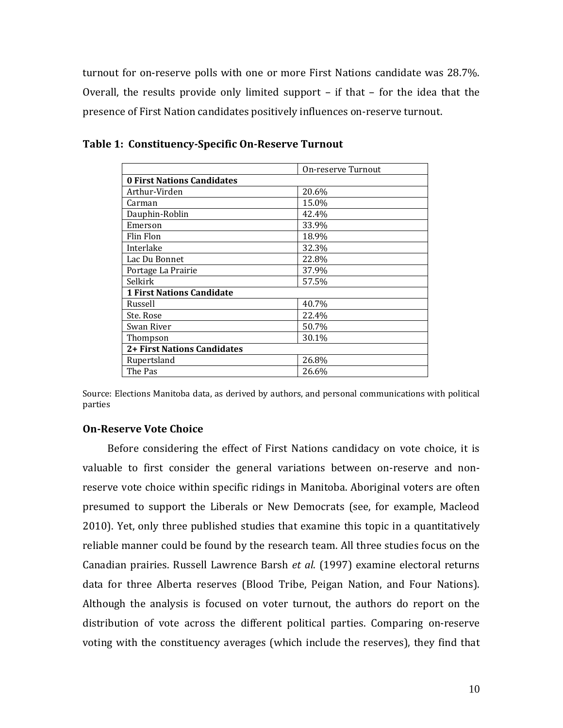turnout for on-reserve polls with one or more First Nations candidate was 28.7%. Overall, the results provide only limited support  $-$  if that  $-$  for the idea that the presence of First Nation candidates positively influences on-reserve turnout.

|                                   | On-reserve Turnout |  |  |  |  |  |
|-----------------------------------|--------------------|--|--|--|--|--|
| <b>0 First Nations Candidates</b> |                    |  |  |  |  |  |
| Arthur-Virden                     | 20.6%              |  |  |  |  |  |
| Carman                            | 15.0%              |  |  |  |  |  |
| Dauphin-Roblin                    | 42.4%              |  |  |  |  |  |
| Emerson                           | 33.9%              |  |  |  |  |  |
| Flin Flon                         | 18.9%              |  |  |  |  |  |
| Interlake                         | 32.3%              |  |  |  |  |  |
| Lac Du Bonnet                     | 22.8%              |  |  |  |  |  |
| Portage La Prairie                | 37.9%              |  |  |  |  |  |
| Selkirk                           | 57.5%              |  |  |  |  |  |
| <b>1 First Nations Candidate</b>  |                    |  |  |  |  |  |
| Russell                           | 40.7%              |  |  |  |  |  |
| Ste. Rose                         | 22.4%              |  |  |  |  |  |
| Swan River                        | 50.7%              |  |  |  |  |  |
| Thompson                          | 30.1%              |  |  |  |  |  |
| 2+ First Nations Candidates       |                    |  |  |  |  |  |
| Rupertsland                       | 26.8%              |  |  |  |  |  |
| The Pas                           | 26.6%              |  |  |  |  |  |

**Table 1: Constituency‐Specific On‐Reserve Turnout**

Source: Elections Manitoba data, as derived by authors, and personal communications with political parties 

## **On‐Reserve Vote Choice**

Before considering the effect of First Nations candidacy on vote choice, it is valuable to first consider the general variations between on-reserve and nonreserve vote choice within specific ridings in Manitoba. Aboriginal voters are often presumed to support the Liberals or New Democrats (see, for example, Macleod 2010). Yet, only three published studies that examine this topic in a quantitatively reliable manner could be found by the research team. All three studies focus on the Canadian prairies. Russell Lawrence Barsh et al. (1997) examine electoral returns data for three Alberta reserves (Blood Tribe, Peigan Nation, and Four Nations). Although the analysis is focused on voter turnout, the authors do report on the distribution of vote across the different political parties. Comparing on-reserve voting with the constituency averages (which include the reserves), they find that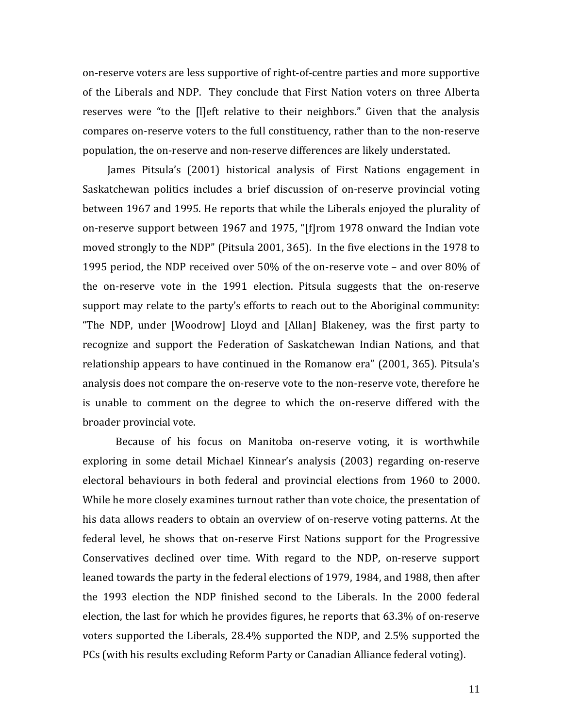on-reserve voters are less supportive of right-of-centre parties and more supportive of the Liberals and NDP. They conclude that First Nation voters on three Alberta reserves were "to the [l]eft relative to their neighbors." Given that the analysis compares on-reserve voters to the full constituency, rather than to the non-reserve population, the on-reserve and non-reserve differences are likely understated.

James Pitsula's (2001) historical analysis of First Nations engagement in Saskatchewan politics includes a brief discussion of on-reserve provincial voting between 1967 and 1995. He reports that while the Liberals enjoyed the plurality of on-reserve support between 1967 and 1975, "[f]rom 1978 onward the Indian vote moved strongly to the NDP" (Pitsula 2001, 365). In the five elections in the 1978 to 1995 period, the NDP received over  $50\%$  of the on-reserve vote – and over 80% of the on-reserve vote in the  $1991$  election. Pitsula suggests that the on-reserve support may relate to the party's efforts to reach out to the Aboriginal community: "The NDP, under [Woodrow] Lloyd and [Allan] Blakeney, was the first party to recognize and support the Federation of Saskatchewan Indian Nations, and that relationship appears to have continued in the Romanow era" (2001, 365). Pitsula's analysis does not compare the on-reserve vote to the non-reserve vote, therefore he is unable to comment on the degree to which the on-reserve differed with the broader provincial vote.

Because of his focus on Manitoba on-reserve voting, it is worthwhile exploring in some detail Michael Kinnear's analysis (2003) regarding on-reserve electoral behaviours in both federal and provincial elections from 1960 to 2000. While he more closely examines turnout rather than vote choice, the presentation of his data allows readers to obtain an overview of on-reserve voting patterns. At the federal level, he shows that on-reserve First Nations support for the Progressive Conservatives declined over time. With regard to the NDP, on-reserve support leaned towards the party in the federal elections of 1979, 1984, and 1988, then after the 1993 election the NDP finished second to the Liberals. In the 2000 federal election, the last for which he provides figures, he reports that  $63.3\%$  of on-reserve voters supported the Liberals, 28.4% supported the NDP, and 2.5% supported the PCs (with his results excluding Reform Party or Canadian Alliance federal voting).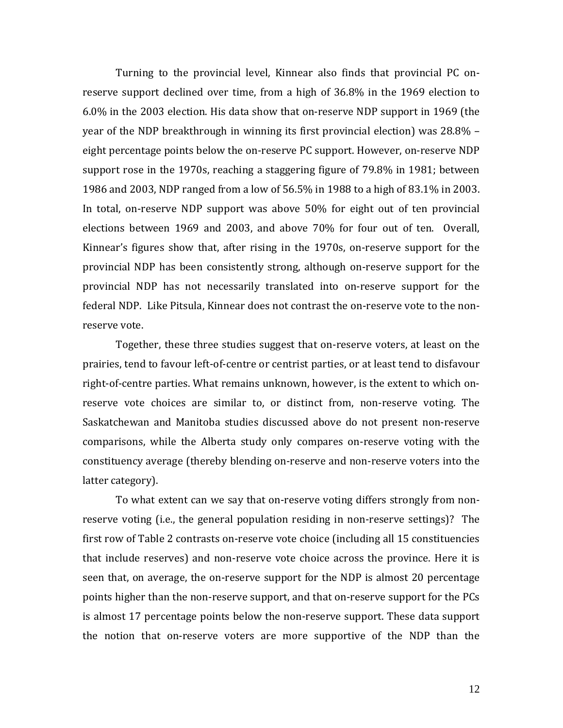Turning to the provincial level, Kinnear also finds that provincial PC onreserve support declined over time, from a high of  $36.8\%$  in the 1969 election to 6.0% in the 2003 election. His data show that on-reserve NDP support in 1969 (the year of the NDP breakthrough in winning its first provincial election) was 28.8% eight percentage points below the on-reserve PC support. However, on-reserve NDP support rose in the 1970s, reaching a staggering figure of  $79.8\%$  in 1981; between 1986 and 2003, NDP ranged from a low of 56.5% in 1988 to a high of 83.1% in 2003. In total, on-reserve NDP support was above  $50\%$  for eight out of ten provincial elections between 1969 and 2003, and above 70% for four out of ten. Overall, Kinnear's figures show that, after rising in the 1970s, on-reserve support for the provincial NDP has been consistently strong, although on-reserve support for the provincial NDP has not necessarily translated into on-reserve support for the federal NDP. Like Pitsula, Kinnear does not contrast the on-reserve vote to the nonreserve vote.

Together, these three studies suggest that on-reserve voters, at least on the prairies, tend to favour left-of-centre or centrist parties, or at least tend to disfavour right-of-centre parties. What remains unknown, however, is the extent to which onreserve vote choices are similar to, or distinct from, non-reserve voting. The Saskatchewan and Manitoba studies discussed above do not present non-reserve comparisons, while the Alberta study only compares on-reserve voting with the constituency average (thereby blending on-reserve and non-reserve voters into the latter category).

To what extent can we say that on-reserve voting differs strongly from nonreserve voting (i.e., the general population residing in non-reserve settings)? The first row of Table 2 contrasts on-reserve vote choice (including all 15 constituencies that include reserves) and non-reserve vote choice across the province. Here it is seen that, on average, the on-reserve support for the NDP is almost 20 percentage points higher than the non-reserve support, and that on-reserve support for the PCs is almost 17 percentage points below the non-reserve support. These data support the notion that on-reserve voters are more supportive of the NDP than the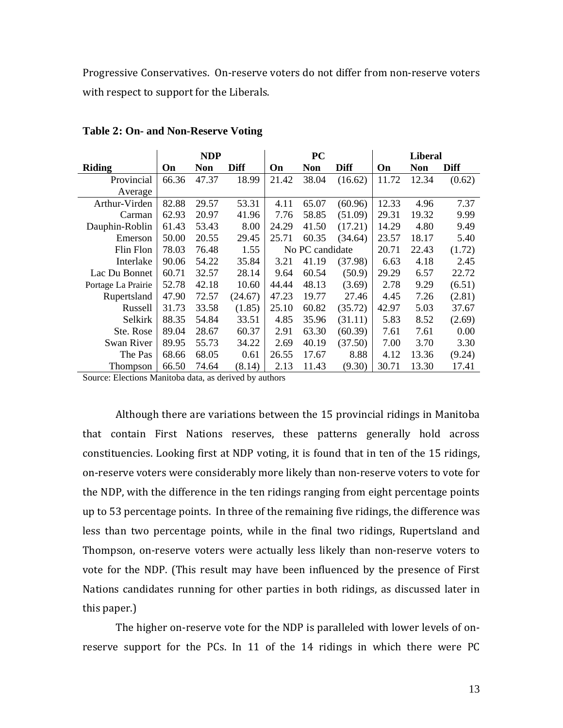Progressive Conservatives. On-reserve voters do not differ from non-reserve voters with respect to support for the Liberals.

|                    |       | <b>NDP</b> |         | <b>PC</b> |                 |         | <b>Liberal</b> |            |        |
|--------------------|-------|------------|---------|-----------|-----------------|---------|----------------|------------|--------|
| <b>Riding</b>      | On    | <b>Non</b> | Diff    | On        | <b>Non</b>      | Diff    | On             | <b>Non</b> | Diff   |
| Provincial         | 66.36 | 47.37      | 18.99   | 21.42     | 38.04           | (16.62) | 11.72          | 12.34      | (0.62) |
| Average            |       |            |         |           |                 |         |                |            |        |
| Arthur-Virden      | 82.88 | 29.57      | 53.31   | 4.11      | 65.07           | (60.96) | 12.33          | 4.96       | 7.37   |
| Carman             | 62.93 | 20.97      | 41.96   | 7.76      | 58.85           | (51.09) | 29.31          | 19.32      | 9.99   |
| Dauphin-Roblin     | 61.43 | 53.43      | 8.00    | 24.29     | 41.50           | (17.21) | 14.29          | 4.80       | 9.49   |
| Emerson            | 50.00 | 20.55      | 29.45   | 25.71     | 60.35           | (34.64) | 23.57          | 18.17      | 5.40   |
| Flin Flon          | 78.03 | 76.48      | 1.55    |           | No PC candidate |         | 20.71          | 22.43      | (1.72) |
| Interlake          | 90.06 | 54.22      | 35.84   | 3.21      | 41.19           | (37.98) | 6.63           | 4.18       | 2.45   |
| Lac Du Bonnet      | 60.71 | 32.57      | 28.14   | 9.64      | 60.54           | (50.9)  | 29.29          | 6.57       | 22.72  |
| Portage La Prairie | 52.78 | 42.18      | 10.60   | 44.44     | 48.13           | (3.69)  | 2.78           | 9.29       | (6.51) |
| Rupertsland        | 47.90 | 72.57      | (24.67) | 47.23     | 19.77           | 27.46   | 4.45           | 7.26       | (2.81) |
| Russell            | 31.73 | 33.58      | (1.85)  | 25.10     | 60.82           | (35.72) | 42.97          | 5.03       | 37.67  |
| Selkirk            | 88.35 | 54.84      | 33.51   | 4.85      | 35.96           | (31.11) | 5.83           | 8.52       | (2.69) |
| Ste. Rose          | 89.04 | 28.67      | 60.37   | 2.91      | 63.30           | (60.39) | 7.61           | 7.61       | 0.00   |
| Swan River         | 89.95 | 55.73      | 34.22   | 2.69      | 40.19           | (37.50) | 7.00           | 3.70       | 3.30   |
| The Pas            | 68.66 | 68.05      | 0.61    | 26.55     | 17.67           | 8.88    | 4.12           | 13.36      | (9.24) |
| Thompson           | 66.50 | 74.64      | (8.14)  | 2.13      | 11.43           | (9.30)  | 30.71          | 13.30      | 17.41  |

**Table 2: On- and Non-Reserve Voting** 

Source: Elections Manitoba data, as derived by authors

Although there are variations between the 15 provincial ridings in Manitoba that contain First Nations reserves, these patterns generally hold across constituencies. Looking first at NDP voting, it is found that in ten of the 15 ridings, on-reserve voters were considerably more likely than non-reserve voters to vote for the NDP, with the difference in the ten ridings ranging from eight percentage points up to 53 percentage points. In three of the remaining five ridings, the difference was less than two percentage points, while in the final two ridings, Rupertsland and Thompson, on-reserve voters were actually less likely than non-reserve voters to vote for the NDP. (This result may have been influenced by the presence of First Nations candidates running for other parties in both ridings, as discussed later in this paper.)

The higher on-reserve vote for the NDP is paralleled with lower levels of onreserve support for the PCs. In 11 of the  $14$  ridings in which there were PC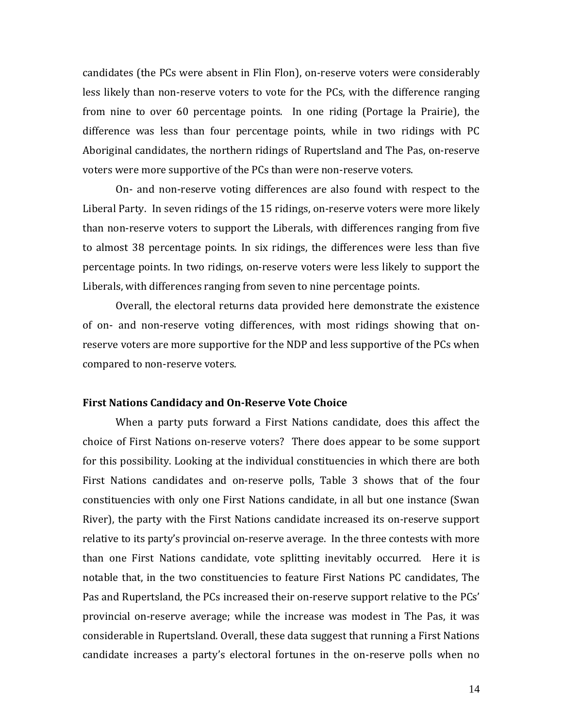candidates (the PCs were absent in Flin Flon), on-reserve voters were considerably less likely than non-reserve voters to vote for the PCs, with the difference ranging from nine to over 60 percentage points. In one riding (Portage la Prairie), the difference was less than four percentage points, while in two ridings with PC Aboriginal candidates, the northern ridings of Rupertsland and The Pas, on-reserve voters were more supportive of the PCs than were non-reserve voters.

On- and non-reserve voting differences are also found with respect to the Liberal Party. In seven ridings of the 15 ridings, on-reserve voters were more likely than non-reserve voters to support the Liberals, with differences ranging from five to almost 38 percentage points. In six ridings, the differences were less than five percentage points. In two ridings, on-reserve voters were less likely to support the Liberals, with differences ranging from seven to nine percentage points.

Overall, the electoral returns data provided here demonstrate the existence of on- and non-reserve voting differences, with most ridings showing that onreserve voters are more supportive for the NDP and less supportive of the PCs when compared to non-reserve voters.

#### **First Nations Candidacy and On‐Reserve Vote Choice**

When a party puts forward a First Nations candidate, does this affect the choice of First Nations on-reserve voters? There does appear to be some support for this possibility. Looking at the individual constituencies in which there are both First Nations candidates and on-reserve polls, Table 3 shows that of the four constituencies with only one First Nations candidate, in all but one instance (Swan River), the party with the First Nations candidate increased its on-reserve support relative to its party's provincial on-reserve average. In the three contests with more than one First Nations candidate, vote splitting inevitably occurred. Here it is notable that, in the two constituencies to feature First Nations PC candidates, The Pas and Rupertsland, the PCs increased their on-reserve support relative to the PCs' provincial on-reserve average; while the increase was modest in The Pas, it was considerable in Rupertsland. Overall, these data suggest that running a First Nations candidate increases a party's electoral fortunes in the on-reserve polls when no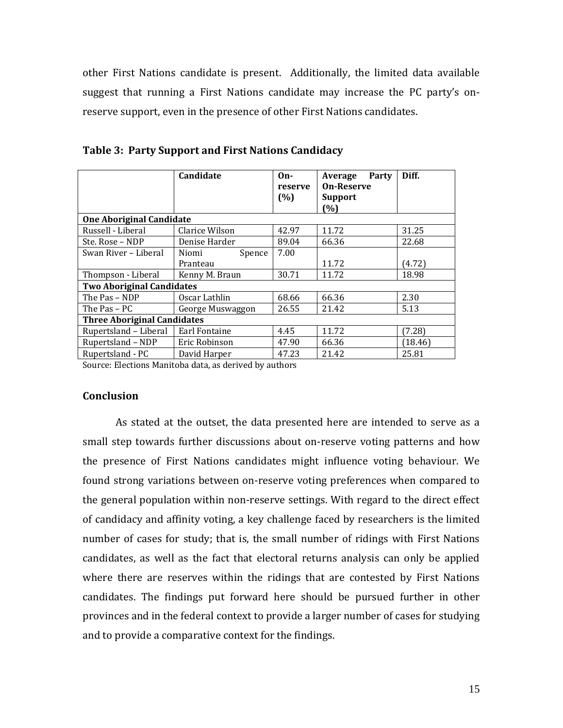other First Nations candidate is present. Additionally, the limited data available suggest that running a First Nations candidate may increase the PC party's onreserve support, even in the presence of other First Nations candidates.

|                                    | Candidate        | $On-$<br>reserve<br>(%) | Party<br>Average<br><b>On-Reserve</b><br><b>Support</b><br>(%) | Diff.   |  |  |  |  |  |  |
|------------------------------------|------------------|-------------------------|----------------------------------------------------------------|---------|--|--|--|--|--|--|
| <b>One Aboriginal Candidate</b>    |                  |                         |                                                                |         |  |  |  |  |  |  |
| Russell - Liberal                  | Clarice Wilson   | 42.97                   | 11.72                                                          | 31.25   |  |  |  |  |  |  |
| Ste. Rose - NDP                    | Denise Harder    | 89.04                   | 66.36                                                          | 22.68   |  |  |  |  |  |  |
| Swan River – Liberal               | Spence<br>Niomi  | 7.00                    |                                                                |         |  |  |  |  |  |  |
|                                    | Pranteau         |                         | 11.72                                                          | (4.72)  |  |  |  |  |  |  |
| Thompson - Liberal                 | Kenny M. Braun   | 30.71                   | 11.72                                                          | 18.98   |  |  |  |  |  |  |
| <b>Two Aboriginal Candidates</b>   |                  |                         |                                                                |         |  |  |  |  |  |  |
| The Pas - NDP                      | Oscar Lathlin    | 68.66                   | 66.36                                                          | 2.30    |  |  |  |  |  |  |
| The Pas - PC                       | George Muswaggon | 26.55                   | 21.42                                                          | 5.13    |  |  |  |  |  |  |
| <b>Three Aboriginal Candidates</b> |                  |                         |                                                                |         |  |  |  |  |  |  |
| Rupertsland - Liberal              | Earl Fontaine    | 4.45                    | 11.72                                                          | (7.28)  |  |  |  |  |  |  |
| Rupertsland - NDP                  | Eric Robinson    | 47.90                   | 66.36                                                          | (18.46) |  |  |  |  |  |  |
| Rupertsland - PC                   | David Harper     | 47.23                   | 21.42                                                          | 25.81   |  |  |  |  |  |  |

**Table 3: Party Support and First Nations Candidacy**

Source: Elections Manitoba data, as derived by authors

## **Conclusion**

As stated at the outset, the data presented here are intended to serve as a small step towards further discussions about on-reserve voting patterns and how the presence of First Nations candidates might influence voting behaviour. We found strong variations between on-reserve voting preferences when compared to the general population within non-reserve settings. With regard to the direct effect of candidacy and affinity voting, a key challenge faced by researchers is the limited number of cases for study; that is, the small number of ridings with First Nations candidates, as well as the fact that electoral returns analysis can only be applied where there are reserves within the ridings that are contested by First Nations candidates. The findings put forward here should be pursued further in other provinces and in the federal context to provide a larger number of cases for studying and to provide a comparative context for the findings.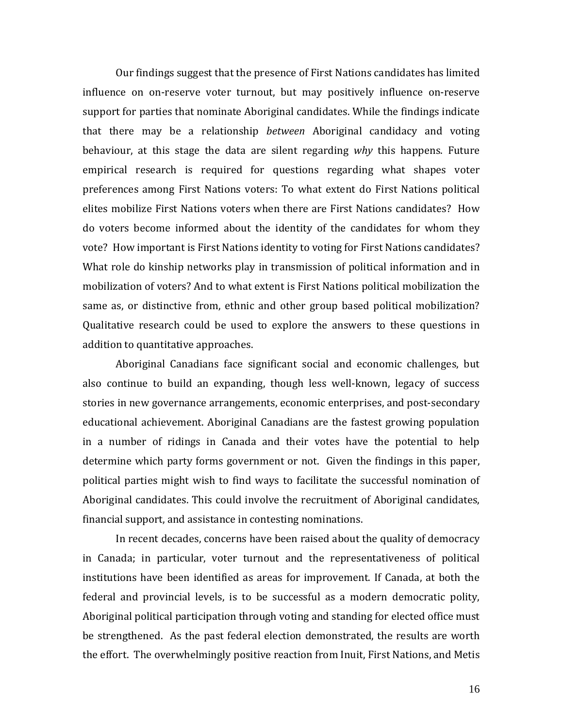Our findings suggest that the presence of First Nations candidates has limited influence on on-reserve voter turnout, but may positively influence on-reserve support for parties that nominate Aboriginal candidates. While the findings indicate that there may be a relationship *between* Aboriginal candidacy and voting behaviour, at this stage the data are silent regarding *why* this happens. Future empirical research is required for questions regarding what shapes voter preferences among First Nations voters: To what extent do First Nations political elites mobilize First Nations voters when there are First Nations candidates? How do voters become informed about the identity of the candidates for whom they vote? How important is First Nations identity to voting for First Nations candidates? What role do kinship networks play in transmission of political information and in mobilization of voters? And to what extent is First Nations political mobilization the same as, or distinctive from, ethnic and other group based political mobilization? Qualitative research could be used to explore the answers to these questions in addition to quantitative approaches.

Aboriginal Canadians face significant social and economic challenges, but also continue to build an expanding, though less well-known, legacy of success stories in new governance arrangements, economic enterprises, and post-secondary educational achievement. Aboriginal Canadians are the fastest growing population in a number of ridings in Canada and their votes have the potential to help determine which party forms government or not. Given the findings in this paper, political parties might wish to find ways to facilitate the successful nomination of Aboriginal candidates. This could involve the recruitment of Aboriginal candidates, financial support, and assistance in contesting nominations.

In recent decades, concerns have been raised about the quality of democracy in Canada; in particular, voter turnout and the representativeness of political institutions have been identified as areas for improvement. If Canada, at both the federal and provincial levels, is to be successful as a modern democratic polity, Aboriginal political participation through voting and standing for elected office must be strengthened. As the past federal election demonstrated, the results are worth the effort. The overwhelmingly positive reaction from Inuit, First Nations, and Metis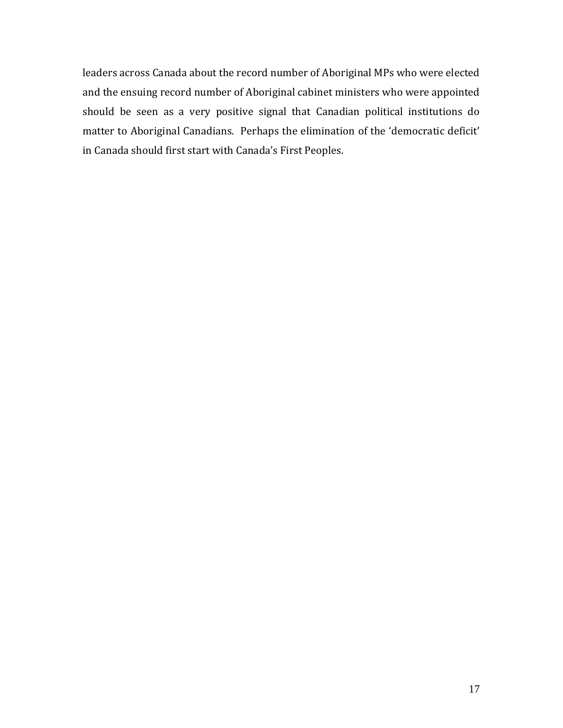leaders across Canada about the record number of Aboriginal MPs who were elected and the ensuing record number of Aboriginal cabinet ministers who were appointed should be seen as a very positive signal that Canadian political institutions do matter to Aboriginal Canadians. Perhaps the elimination of the 'democratic deficit' in Canada should first start with Canada's First Peoples.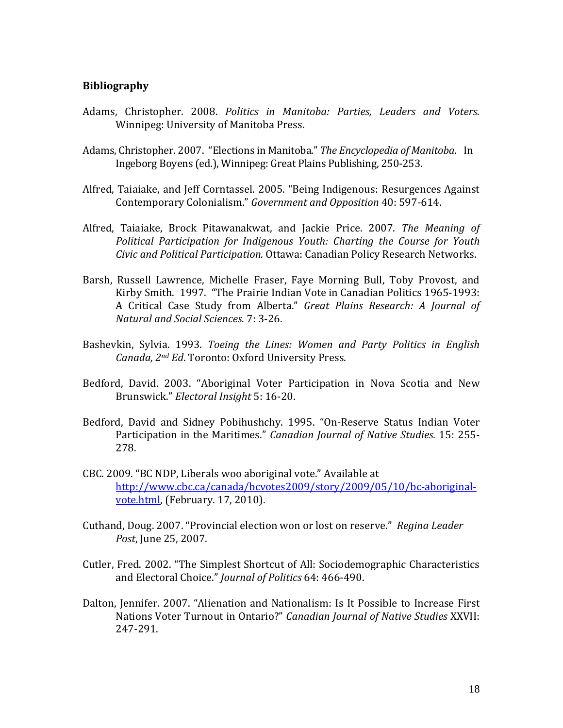## **Bibliography**

- Adams, Christopher. 2008. *Politics in Manitoba: Parties, Leaders and Voters*. Winnipeg: University of Manitoba Press.
- Adams, Christopher. 2007. "Elections in Manitoba." The *Encyclopedia of Manitoba.* In Ingeborg Boyens (ed.), Winnipeg: Great Plains Publishing, 250-253.
- Alfred, Taiaiake, and Jeff Corntassel. 2005. "Being Indigenous: Resurgences Against Contemporary Colonialism." *Government and Opposition* 40: 597‐614.
- Alfred, Taiaiake, Brock Pitawanakwat, and Jackie Price. 2007. *The Meaning of Political Participation for Indigenous Youth: Charting the Course for Youth Civic and Political Participation.* Ottawa: Canadian Policy Research Networks.
- Barsh, Russell Lawrence, Michelle Fraser, Faye Morning Bull, Toby Provost, and Kirby Smith. 1997. "The Prairie Indian Vote in Canadian Politics 1965-1993: A Critical Case Study from Alberta." *Great Plains Research: A Journal of Natural and Social Sciences.* 7: 3‐26.
- Bashevkin, Sylvia. 1993. *Toeing the Lines: Women and Party Politics in English Canada, 2nd Ed*. Toronto: Oxford University Press.
- Bedford, David. 2003. "Aboriginal Voter Participation in Nova Scotia and New Brunswick." *Electoral Insight* 5: 16‐20.
- Bedford, David and Sidney Pobihushchy. 1995. "On-Reserve Status Indian Voter Participation in the Maritimes." Canadian *Journal of Native Studies.* 15: 255-278.
- CBC. 2009. "BC NDP, Liberals woo aboriginal vote." Available at http://www.cbc.ca/canada/bcvotes2009/story/2009/05/10/bc‐aboriginal‐ vote.html, (February. 17, 2010).
- Cuthand, Doug. 2007. "Provincial election won or lost on reserve." Regina Leader *Post*, June 25, 2007.
- Cutler, Fred. 2002. "The Simplest Shortcut of All: Sociodemographic Characteristics and Electoral Choice." *Journal of Politics* 64: 466-490.
- Dalton, Jennifer. 2007. "Alienation and Nationalism: Is It Possible to Increase First Nations Voter Turnout in Ontario?" *Canadian Journal of Native Studies* XXVII: 247‐291.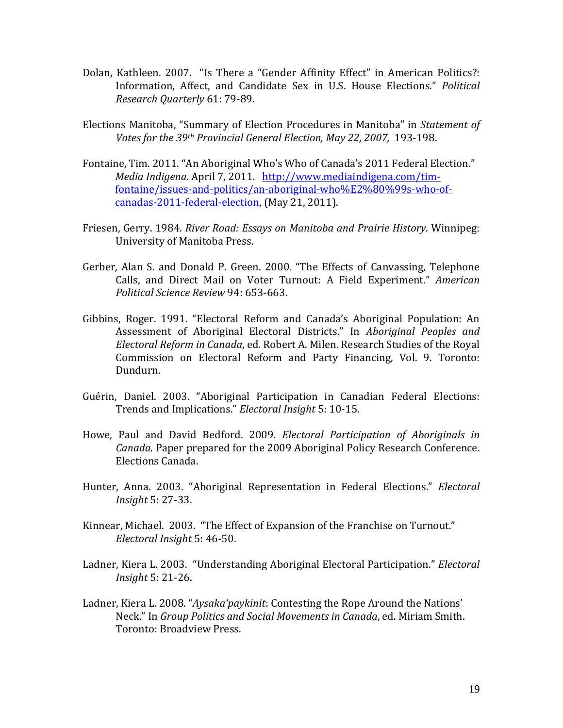- Dolan, Kathleen. 2007. "Is There a "Gender Affinity Effect" in American Politics?: Information, Affect, and Candidate Sex in U.S. House Elections." *Political Research Quarterly* 61: 79‐89.
- Elections Manitoba, "Summary of Election Procedures in Manitoba" in *Statement of Votes for the 39th Provincial General Election, May 22, 2007,* 193‐198.
- Fontaine, Tim. 2011. "An Aboriginal Who's Who of Canada's 2011 Federal Election." *Media Indigena.* April 7, 2011. http://www.mediaindigena.com/timfontaine/issues‐and‐politics/an‐aboriginal‐who%E2%80%99s‐who‐of‐ canadas-2011-federal-election, (May 21, 2011).
- Friesen, Gerry. 1984. *River Road: Essays on Manitoba and Prairie History*. Winnipeg: University of Manitoba Press.
- Gerber, Alan S. and Donald P. Green. 2000. "The Effects of Canvassing, Telephone Calls, and Direct Mail on Voter Turnout: A Field Experiment." American *Political Science Review* 94: 653‐663.
- Gibbins, Roger. 1991. "Electoral Reform and Canada's Aboriginal Population: An Assessment of Aboriginal Electoral Districts." In *Aboriginal Peoples and Electoral Reform in Canada*, ed. Robert A. Milen. Research Studies of the Royal Commission on Electoral Reform and Party Financing, Vol. 9. Toronto: Dundurn.
- Guérin, Daniel. 2003. "Aboriginal Participation in Canadian Federal Elections: Trends and *Implications." Electoral Insight* 5: 10-15.
- Howe, Paul and David Bedford. 2009. *Electoral Participation of Aboriginals in Canada.* Paper prepared for the 2009 Aboriginal Policy Research Conference. Elections Canada.
- Hunter, Anna. 2003. "Aboriginal Representation in Federal Elections." *Electoral Insight* 5: 27‐33.
- Kinnear, Michael. 2003. "The Effect of Expansion of the Franchise on Turnout." *Electoral Insight* 5: 46‐50.
- Ladner, Kiera L. 2003. "Understanding Aboriginal Electoral Participation." *Electoral Insight* 5: 21‐26.
- Ladner, Kiera L. 2008. "*Aysaka'paykinit*: Contesting the Rope Around the Nations' Neck." In *Group Politics and Social Movements in Canada*, ed. Miriam Smith. Toronto: Broadview Press.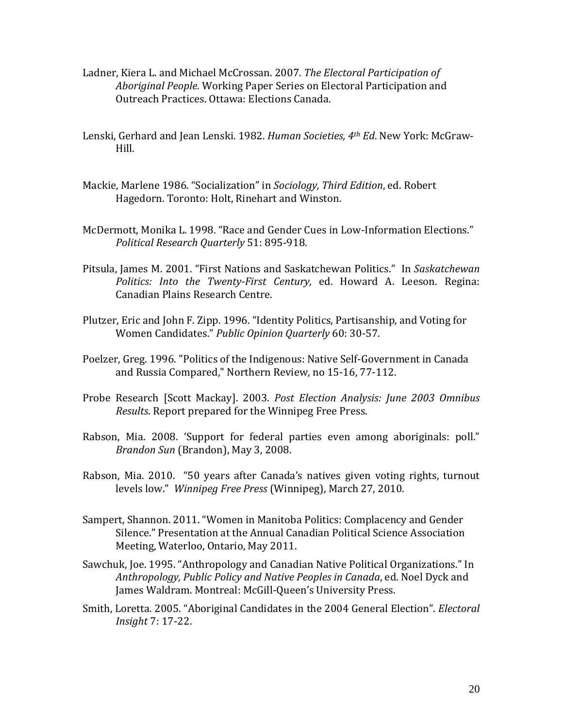- Ladner, Kiera L. and Michael McCrossan. 2007. *The Electoral Participation of* Aboriginal People. Working Paper Series on Electoral Participation and Outreach Practices. Ottawa: Elections Canada.
- Lenski, Gerhard and Jean Lenski. 1982. *Human Societies, 4<sup>th</sup> Ed*. New York: McGraw-Hill.
- Mackie, Marlene 1986. "Socialization" in *Sociology, Third Edition*, ed. Robert Hagedorn. Toronto: Holt, Rinehart and Winston.
- McDermott, Monika L. 1998. "Race and Gender Cues in Low-Information Elections." *Political Research Quarterly* 51: 895‐918.
- Pitsula. Iames M. 2001. "First Nations and Saskatchewan Politics." In Saskatchewan *Politics: Into the Twenty‐First Century,* ed. Howard A. Leeson. Regina: Canadian Plains Research Centre.
- Plutzer, Eric and John F. Zipp. 1996. "Identity Politics, Partisanship, and Voting for Women Candidates." *Public Opinion Quarterly* 60: 30‐57.
- Poelzer, Greg. 1996. "Politics of the Indigenous: Native Self-Government in Canada and Russia Compared," Northern Review, no 15-16, 77-112.
- Probe Research [Scott Mackay]. 2003. *Post Election Analysis: June 2003 Omnibus Results*. Report prepared for the Winnipeg Free Press.
- Rabson, Mia. 2008. 'Support for federal parties even among aboriginals: poll." *Brandon Sun* (Brandon), May 3, 2008.
- Rabson, Mia. 2010. "50 years after Canada's natives given voting rights, turnout levels low." *Winnipeg Free Press* (Winnipeg), March 27, 2010.
- Sampert, Shannon. 2011. "Women in Manitoba Politics: Complacency and Gender Silence." Presentation at the Annual Canadian Political Science Association Meeting, Waterloo, Ontario, May 2011.
- Sawchuk, Joe. 1995. "Anthropology and Canadian Native Political Organizations." In *Anthropology, Public Policy and Native Peoples in Canada*, ed. Noel Dyck and James Waldram. Montreal: McGill-Queen's University Press.
- Smith, Loretta. 2005. "Aboriginal Candidates in the 2004 General Election". *Electoral Insight* 7: 17‐22.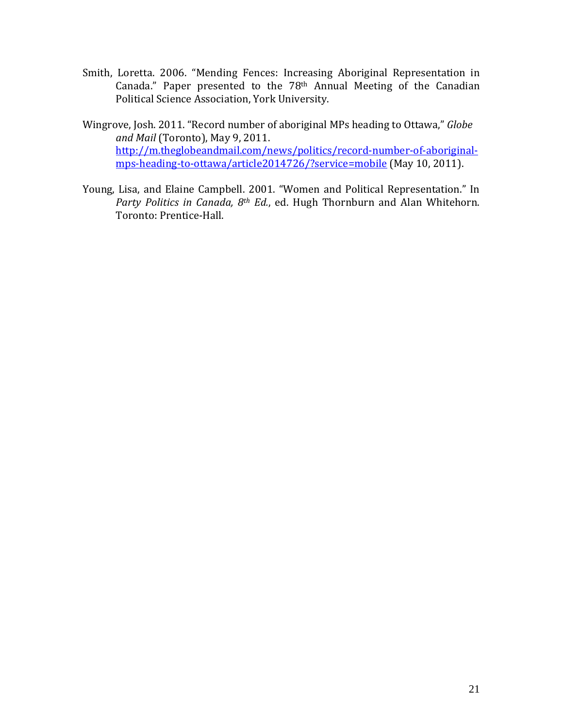- Smith, Loretta. 2006. "Mending Fences: Increasing Aboriginal Representation in Canada." Paper presented to the  $78<sup>th</sup>$  Annual Meeting of the Canadian Political Science Association, York University.
- Wingrove, Josh. 2011. "Record number of aboriginal MPs heading to Ottawa," *Globe and Mail* (Toronto), May 9, 2011. http://m.theglobeandmail.com/news/politics/record-number-of-aboriginalmps-heading-to-ottawa/article2014726/?service=mobile (May 10, 2011).
- Young, Lisa, and Elaine Campbell. 2001. "Women and Political Representation." In *Party Politics in Canada, 8<sup>th</sup> Ed.*, ed. Hugh Thornburn and Alan Whitehorn. Toronto: Prentice-Hall.